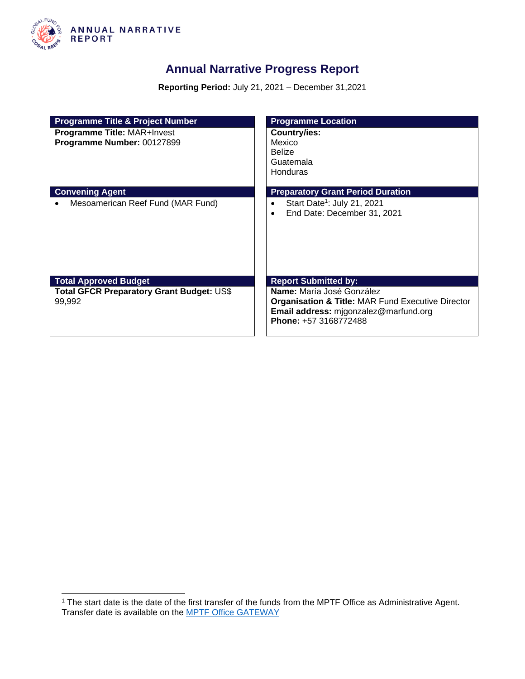

### **Annual Narrative Progress Report**

**Reporting Period:** July 21, 2021 – December 31,2021

| <b>Programme Title &amp; Project Number</b>                      | <b>Programme Location</b>                                                                                                                                   |
|------------------------------------------------------------------|-------------------------------------------------------------------------------------------------------------------------------------------------------------|
| <b>Programme Title: MAR+Invest</b><br>Programme Number: 00127899 | <b>Country/ies:</b><br>Mexico<br><b>Belize</b><br>Guatemala<br>Honduras                                                                                     |
| <b>Convening Agent</b>                                           | <b>Preparatory Grant Period Duration</b>                                                                                                                    |
| Mesoamerican Reef Fund (MAR Fund)                                | Start Date <sup>1</sup> : July 21, 2021<br>End Date: December 31, 2021<br>$\bullet$                                                                         |
| <b>Total Approved Budget</b>                                     | <b>Report Submitted by:</b>                                                                                                                                 |
| <b>Total GFCR Preparatory Grant Budget: US\$</b><br>99,992       | Name: María José González<br><b>Organisation &amp; Title: MAR Fund Executive Director</b><br>Email address: migonzalez@marfund.org<br>Phone: +57 3168772488 |

<sup>&</sup>lt;sup>1</sup> The start date is the date of the first transfer of the funds from the MPTF Office as Administrative Agent. Transfer date is available on the **MPTF Office GATEWAY**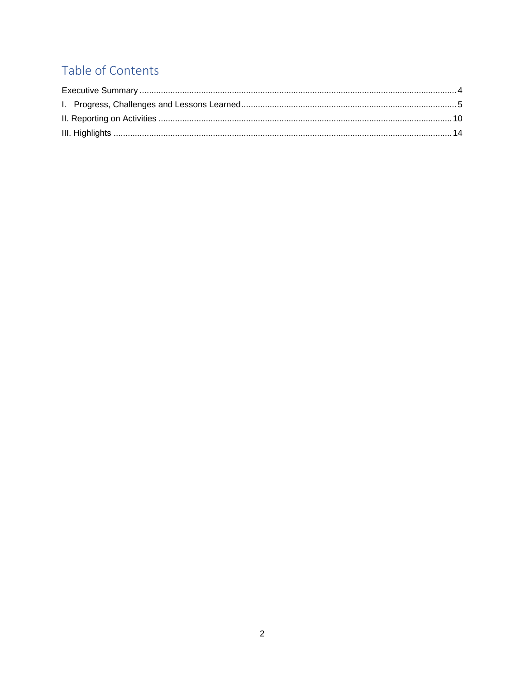## Table of Contents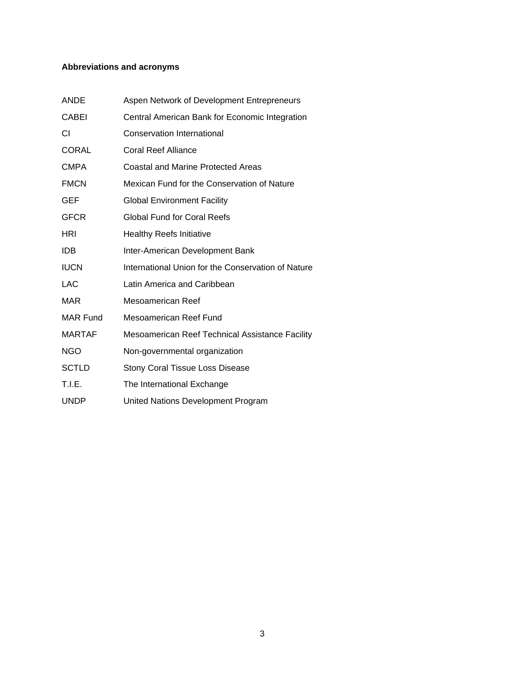#### **Abbreviations and acronyms**

| <b>ANDE</b>     | Aspen Network of Development Entrepreneurs         |
|-----------------|----------------------------------------------------|
| <b>CABEI</b>    | Central American Bank for Economic Integration     |
| СI              | <b>Conservation International</b>                  |
| <b>CORAL</b>    | <b>Coral Reef Alliance</b>                         |
| <b>CMPA</b>     | <b>Coastal and Marine Protected Areas</b>          |
| <b>FMCN</b>     | Mexican Fund for the Conservation of Nature        |
| <b>GEF</b>      | <b>Global Environment Facility</b>                 |
| <b>GFCR</b>     | <b>Global Fund for Coral Reefs</b>                 |
| HRI             | <b>Healthy Reefs Initiative</b>                    |
| <b>IDB</b>      | Inter-American Development Bank                    |
| <b>IUCN</b>     | International Union for the Conservation of Nature |
| LAC             | Latin America and Caribbean                        |
| MAR             | Mesoamerican Reef                                  |
| <b>MAR Fund</b> | Mesoamerican Reef Fund                             |
| <b>MARTAF</b>   | Mesoamerican Reef Technical Assistance Facility    |
| <b>NGO</b>      | Non-governmental organization                      |
| <b>SCTLD</b>    | <b>Stony Coral Tissue Loss Disease</b>             |
| T.I.E.          | The International Exchange                         |
| <b>UNDP</b>     | United Nations Development Program                 |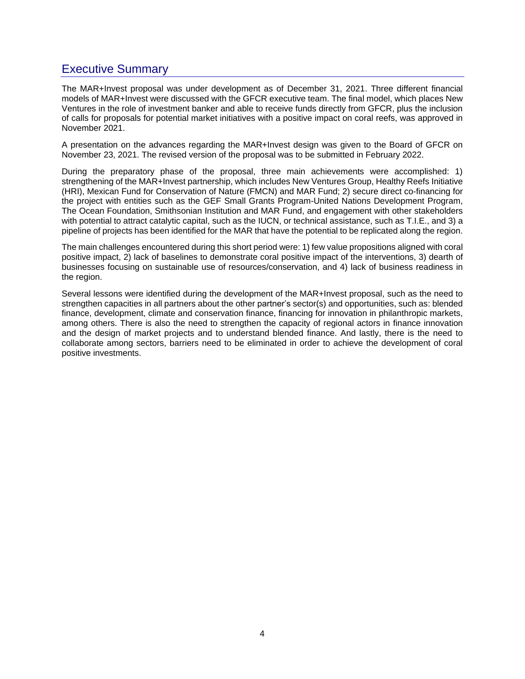### <span id="page-3-0"></span>Executive Summary

The MAR+Invest proposal was under development as of December 31, 2021. Three different financial models of MAR+Invest were discussed with the GFCR executive team. The final model, which places New Ventures in the role of investment banker and able to receive funds directly from GFCR, plus the inclusion of calls for proposals for potential market initiatives with a positive impact on coral reefs, was approved in November 2021.

A presentation on the advances regarding the MAR+Invest design was given to the Board of GFCR on November 23, 2021. The revised version of the proposal was to be submitted in February 2022.

During the preparatory phase of the proposal, three main achievements were accomplished: 1) strengthening of the MAR+Invest partnership, which includes New Ventures Group, Healthy Reefs Initiative (HRI), Mexican Fund for Conservation of Nature (FMCN) and MAR Fund; 2) secure direct co-financing for the project with entities such as the GEF Small Grants Program-United Nations Development Program, The Ocean Foundation, Smithsonian Institution and MAR Fund, and engagement with other stakeholders with potential to attract catalytic capital, such as the IUCN, or technical assistance, such as T.I.E., and 3) a pipeline of projects has been identified for the MAR that have the potential to be replicated along the region.

The main challenges encountered during this short period were: 1) few value propositions aligned with coral positive impact, 2) lack of baselines to demonstrate coral positive impact of the interventions, 3) dearth of businesses focusing on sustainable use of resources/conservation, and 4) lack of business readiness in the region.

Several lessons were identified during the development of the MAR+Invest proposal, such as the need to strengthen capacities in all partners about the other partner's sector(s) and opportunities, such as: blended finance, development, climate and conservation finance, financing for innovation in philanthropic markets, among others. There is also the need to strengthen the capacity of regional actors in finance innovation and the design of market projects and to understand blended finance. And lastly, there is the need to collaborate among sectors, barriers need to be eliminated in order to achieve the development of coral positive investments.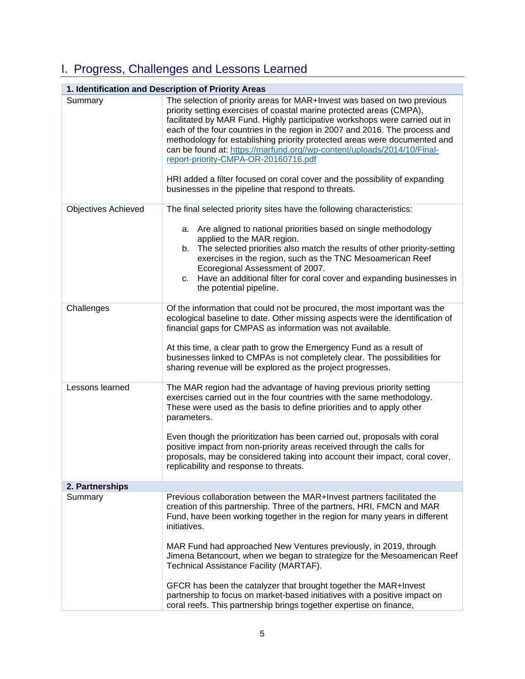# <span id="page-4-0"></span>I. Progress, Challenges and Lessons Learned

| 1. Identification and Description of Priority Areas |                                                                                                                                                                                                                                                                                                                                                                                                                                                                                                                                                                                                                                                                     |  |  |
|-----------------------------------------------------|---------------------------------------------------------------------------------------------------------------------------------------------------------------------------------------------------------------------------------------------------------------------------------------------------------------------------------------------------------------------------------------------------------------------------------------------------------------------------------------------------------------------------------------------------------------------------------------------------------------------------------------------------------------------|--|--|
| Summary                                             | The selection of priority areas for MAR+Invest was based on two previous<br>priority setting exercises of coastal marine protected areas (CMPA),<br>facilitated by MAR Fund. Highly participative workshops were carried out in<br>each of the four countries in the region in 2007 and 2016. The process and<br>methodology for establishing priority protected areas were documented and<br>can be found at: https://marfund.org//wp-content/uploads/2014/10/Final-<br>report-priority-CMPA-OR-20160716.pdf<br>HRI added a filter focused on coral cover and the possibility of expanding<br>businesses in the pipeline that respond to threats.                  |  |  |
| <b>Objectives Achieved</b>                          | The final selected priority sites have the following characteristics:<br>a. Are aligned to national priorities based on single methodology<br>applied to the MAR region.<br>b. The selected priorities also match the results of other priority-setting<br>exercises in the region, such as the TNC Mesoamerican Reef<br>Ecoregional Assessment of 2007.<br>c. Have an additional filter for coral cover and expanding businesses in<br>the potential pipeline.                                                                                                                                                                                                     |  |  |
| Challenges                                          | Of the information that could not be procured, the most important was the<br>ecological baseline to date. Other missing aspects were the identification of<br>financial gaps for CMPAS as information was not available.<br>At this time, a clear path to grow the Emergency Fund as a result of<br>businesses linked to CMPAs is not completely clear. The possibilities for<br>sharing revenue will be explored as the project progresses.                                                                                                                                                                                                                        |  |  |
| Lessons learned                                     | The MAR region had the advantage of having previous priority setting<br>exercises carried out in the four countries with the same methodology.<br>These were used as the basis to define priorities and to apply other<br>parameters.<br>Even though the prioritization has been carried out, proposals with coral<br>positive impact from non-priority areas received through the calls for<br>proposals, may be considered taking into account their impact, coral cover,<br>replicability and response to threats.                                                                                                                                               |  |  |
| 2. Partnerships                                     |                                                                                                                                                                                                                                                                                                                                                                                                                                                                                                                                                                                                                                                                     |  |  |
| Summary                                             | Previous collaboration between the MAR+Invest partners facilitated the<br>creation of this partnership. Three of the partners, HRI, FMCN and MAR<br>Fund, have been working together in the region for many years in different<br>initiatives.<br>MAR Fund had approached New Ventures previously, in 2019, through<br>Jimena Betancourt, when we began to strategize for the Mesoamerican Reef<br>Technical Assistance Facility (MARTAF).<br>GFCR has been the catalyzer that brought together the MAR+Invest<br>partnership to focus on market-based initiatives with a positive impact on<br>coral reefs. This partnership brings together expertise on finance, |  |  |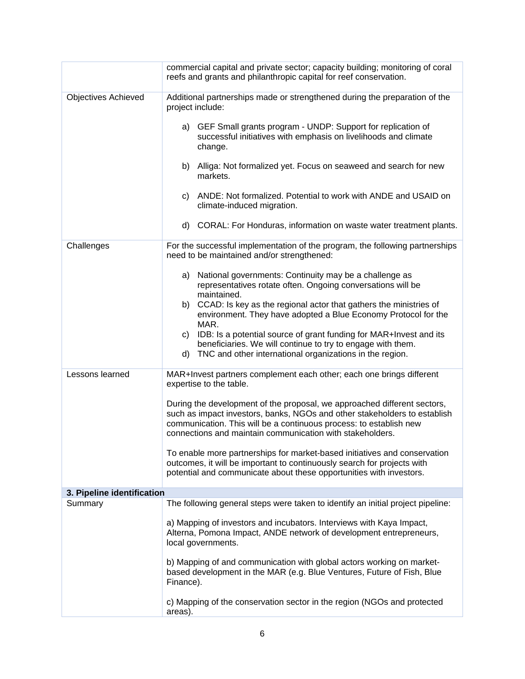|                            | commercial capital and private sector; capacity building; monitoring of coral<br>reefs and grants and philanthropic capital for reef conservation.                                                                                                                                       |  |  |
|----------------------------|------------------------------------------------------------------------------------------------------------------------------------------------------------------------------------------------------------------------------------------------------------------------------------------|--|--|
| <b>Objectives Achieved</b> | Additional partnerships made or strengthened during the preparation of the<br>project include:                                                                                                                                                                                           |  |  |
|                            | a) GEF Small grants program - UNDP: Support for replication of<br>successful initiatives with emphasis on livelihoods and climate<br>change.                                                                                                                                             |  |  |
|                            | b) Alliga: Not formalized yet. Focus on seaweed and search for new<br>markets.                                                                                                                                                                                                           |  |  |
|                            | c) ANDE: Not formalized. Potential to work with ANDE and USAID on<br>climate-induced migration.                                                                                                                                                                                          |  |  |
|                            | CORAL: For Honduras, information on waste water treatment plants.<br>d)                                                                                                                                                                                                                  |  |  |
| Challenges                 | For the successful implementation of the program, the following partnerships<br>need to be maintained and/or strengthened:                                                                                                                                                               |  |  |
|                            | a) National governments: Continuity may be a challenge as<br>representatives rotate often. Ongoing conversations will be<br>maintained.                                                                                                                                                  |  |  |
|                            | b) CCAD: Is key as the regional actor that gathers the ministries of<br>environment. They have adopted a Blue Economy Protocol for the<br>MAR.                                                                                                                                           |  |  |
|                            | c) IDB: Is a potential source of grant funding for MAR+Invest and its<br>beneficiaries. We will continue to try to engage with them.<br>TNC and other international organizations in the region.<br>d)                                                                                   |  |  |
| Lessons learned            | MAR+Invest partners complement each other; each one brings different<br>expertise to the table.                                                                                                                                                                                          |  |  |
|                            | During the development of the proposal, we approached different sectors,<br>such as impact investors, banks, NGOs and other stakeholders to establish<br>communication. This will be a continuous process: to establish new<br>connections and maintain communication with stakeholders. |  |  |
|                            | To enable more partnerships for market-based initiatives and conservation<br>outcomes, it will be important to continuously search for projects with<br>potential and communicate about these opportunities with investors.                                                              |  |  |
| 3. Pipeline identification |                                                                                                                                                                                                                                                                                          |  |  |
| Summary                    | The following general steps were taken to identify an initial project pipeline:                                                                                                                                                                                                          |  |  |
|                            | a) Mapping of investors and incubators. Interviews with Kaya Impact,<br>Alterna, Pomona Impact, ANDE network of development entrepreneurs,<br>local governments.                                                                                                                         |  |  |
|                            | b) Mapping of and communication with global actors working on market-<br>based development in the MAR (e.g. Blue Ventures, Future of Fish, Blue<br>Finance).                                                                                                                             |  |  |
|                            | c) Mapping of the conservation sector in the region (NGOs and protected<br>areas).                                                                                                                                                                                                       |  |  |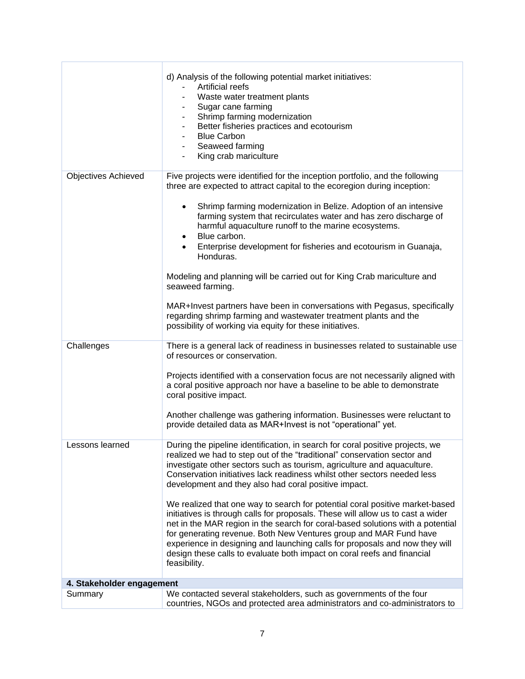|                            | d) Analysis of the following potential market initiatives:<br><b>Artificial reefs</b><br>Waste water treatment plants<br>Sugar cane farming<br>Shrimp farming modernization<br>Better fisheries practices and ecotourism<br><b>Blue Carbon</b><br>Seaweed farming<br>King crab mariculture                                                                                                                                                                                                                                                                                                                                                                                                                                                                                                                                                                                   |  |
|----------------------------|------------------------------------------------------------------------------------------------------------------------------------------------------------------------------------------------------------------------------------------------------------------------------------------------------------------------------------------------------------------------------------------------------------------------------------------------------------------------------------------------------------------------------------------------------------------------------------------------------------------------------------------------------------------------------------------------------------------------------------------------------------------------------------------------------------------------------------------------------------------------------|--|
| <b>Objectives Achieved</b> | Five projects were identified for the inception portfolio, and the following<br>three are expected to attract capital to the ecoregion during inception:<br>Shrimp farming modernization in Belize. Adoption of an intensive<br>farming system that recirculates water and has zero discharge of<br>harmful aquaculture runoff to the marine ecosystems.<br>Blue carbon.<br>Enterprise development for fisheries and ecotourism in Guanaja,<br>Honduras.<br>Modeling and planning will be carried out for King Crab mariculture and<br>seaweed farming.<br>MAR+Invest partners have been in conversations with Pegasus, specifically<br>regarding shrimp farming and wastewater treatment plants and the<br>possibility of working via equity for these initiatives.                                                                                                         |  |
|                            |                                                                                                                                                                                                                                                                                                                                                                                                                                                                                                                                                                                                                                                                                                                                                                                                                                                                              |  |
| Challenges                 | There is a general lack of readiness in businesses related to sustainable use<br>of resources or conservation.<br>Projects identified with a conservation focus are not necessarily aligned with<br>a coral positive approach nor have a baseline to be able to demonstrate<br>coral positive impact.<br>Another challenge was gathering information. Businesses were reluctant to<br>provide detailed data as MAR+Invest is not "operational" yet.                                                                                                                                                                                                                                                                                                                                                                                                                          |  |
| Lessons learned            | During the pipeline identification, in search for coral positive projects, we<br>realized we had to step out of the "traditional" conservation sector and<br>investigate other sectors such as tourism, agriculture and aquaculture.<br>Conservation initiatives lack readiness whilst other sectors needed less<br>development and they also had coral positive impact.<br>We realized that one way to search for potential coral positive market-based<br>initiatives is through calls for proposals. These will allow us to cast a wider<br>net in the MAR region in the search for coral-based solutions with a potential<br>for generating revenue. Both New Ventures group and MAR Fund have<br>experience in designing and launching calls for proposals and now they will<br>design these calls to evaluate both impact on coral reefs and financial<br>feasibility. |  |
| 4. Stakeholder engagement  |                                                                                                                                                                                                                                                                                                                                                                                                                                                                                                                                                                                                                                                                                                                                                                                                                                                                              |  |
| Summary                    | We contacted several stakeholders, such as governments of the four<br>countries, NGOs and protected area administrators and co-administrators to                                                                                                                                                                                                                                                                                                                                                                                                                                                                                                                                                                                                                                                                                                                             |  |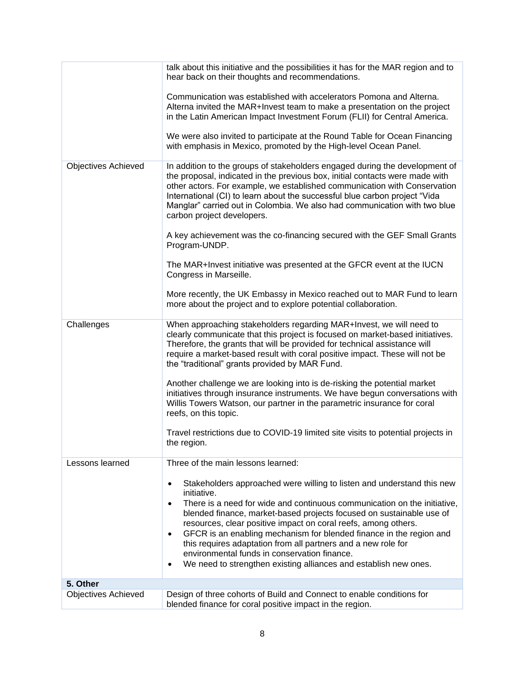| talk about this initiative and the possibilities it has for the MAR region and to<br>hear back on their thoughts and recommendations. |                                                                                                                                                                                                                                                                                                                                                                                                                                                                                                                                                                                                             |  |  |
|---------------------------------------------------------------------------------------------------------------------------------------|-------------------------------------------------------------------------------------------------------------------------------------------------------------------------------------------------------------------------------------------------------------------------------------------------------------------------------------------------------------------------------------------------------------------------------------------------------------------------------------------------------------------------------------------------------------------------------------------------------------|--|--|
|                                                                                                                                       | Communication was established with accelerators Pomona and Alterna.<br>Alterna invited the MAR+Invest team to make a presentation on the project<br>in the Latin American Impact Investment Forum (FLII) for Central America.<br>We were also invited to participate at the Round Table for Ocean Financing<br>with emphasis in Mexico, promoted by the High-level Ocean Panel.                                                                                                                                                                                                                             |  |  |
| <b>Objectives Achieved</b>                                                                                                            | In addition to the groups of stakeholders engaged during the development of<br>the proposal, indicated in the previous box, initial contacts were made with<br>other actors. For example, we established communication with Conservation<br>International (CI) to learn about the successful blue carbon project "Vida<br>Manglar" carried out in Colombia. We also had communication with two blue<br>carbon project developers.<br>A key achievement was the co-financing secured with the GEF Small Grants<br>Program-UNDP.                                                                              |  |  |
|                                                                                                                                       | The MAR+Invest initiative was presented at the GFCR event at the IUCN<br>Congress in Marseille.<br>More recently, the UK Embassy in Mexico reached out to MAR Fund to learn<br>more about the project and to explore potential collaboration.                                                                                                                                                                                                                                                                                                                                                               |  |  |
| Challenges                                                                                                                            | When approaching stakeholders regarding MAR+Invest, we will need to<br>clearly communicate that this project is focused on market-based initiatives.<br>Therefore, the grants that will be provided for technical assistance will<br>require a market-based result with coral positive impact. These will not be<br>the "traditional" grants provided by MAR Fund.                                                                                                                                                                                                                                          |  |  |
|                                                                                                                                       | Another challenge we are looking into is de-risking the potential market<br>initiatives through insurance instruments. We have begun conversations with<br>Willis Towers Watson, our partner in the parametric insurance for coral<br>reefs, on this topic.                                                                                                                                                                                                                                                                                                                                                 |  |  |
|                                                                                                                                       | Travel restrictions due to COVID-19 limited site visits to potential projects in<br>the region.                                                                                                                                                                                                                                                                                                                                                                                                                                                                                                             |  |  |
| Lessons learned                                                                                                                       | Three of the main lessons learned:                                                                                                                                                                                                                                                                                                                                                                                                                                                                                                                                                                          |  |  |
|                                                                                                                                       | Stakeholders approached were willing to listen and understand this new<br>$\bullet$<br>initiative.<br>There is a need for wide and continuous communication on the initiative,<br>٠<br>blended finance, market-based projects focused on sustainable use of<br>resources, clear positive impact on coral reefs, among others.<br>GFCR is an enabling mechanism for blended finance in the region and<br>$\bullet$<br>this requires adaptation from all partners and a new role for<br>environmental funds in conservation finance.<br>We need to strengthen existing alliances and establish new ones.<br>٠ |  |  |
| 5. Other                                                                                                                              |                                                                                                                                                                                                                                                                                                                                                                                                                                                                                                                                                                                                             |  |  |
| <b>Objectives Achieved</b>                                                                                                            | Design of three cohorts of Build and Connect to enable conditions for<br>blended finance for coral positive impact in the region.                                                                                                                                                                                                                                                                                                                                                                                                                                                                           |  |  |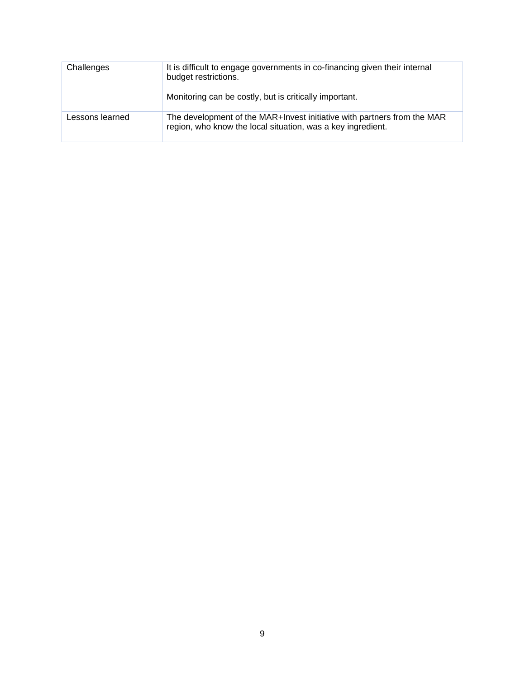| Challenges      | It is difficult to engage governments in co-financing given their internal<br>budget restrictions.<br>Monitoring can be costly, but is critically important. |
|-----------------|--------------------------------------------------------------------------------------------------------------------------------------------------------------|
| Lessons learned | The development of the MAR+Invest initiative with partners from the MAR<br>region, who know the local situation, was a key ingredient.                       |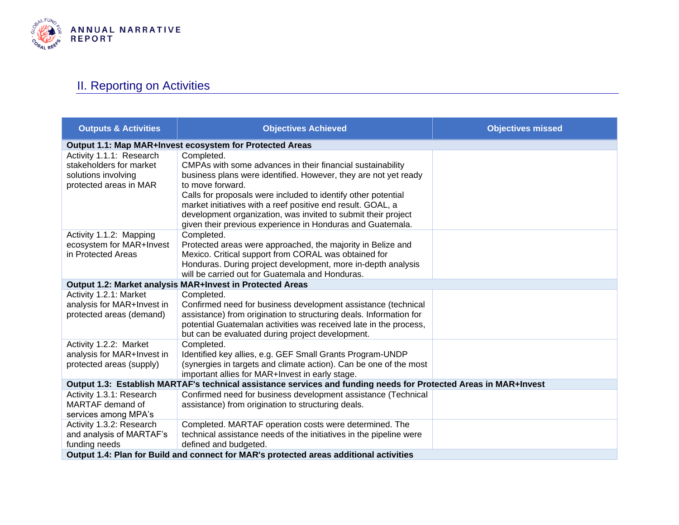

## II. Reporting on Activities

<span id="page-9-0"></span>

| <b>Outputs &amp; Activities</b>                                                                                  | <b>Objectives Achieved</b>                                                                                                                                                                                                                                                                                                                                                                                                     | <b>Objectives missed</b> |
|------------------------------------------------------------------------------------------------------------------|--------------------------------------------------------------------------------------------------------------------------------------------------------------------------------------------------------------------------------------------------------------------------------------------------------------------------------------------------------------------------------------------------------------------------------|--------------------------|
|                                                                                                                  | Output 1.1: Map MAR+Invest ecosystem for Protected Areas                                                                                                                                                                                                                                                                                                                                                                       |                          |
| Activity 1.1.1: Research<br>stakeholders for market<br>solutions involving<br>protected areas in MAR             | Completed.<br>CMPAs with some advances in their financial sustainability<br>business plans were identified. However, they are not yet ready<br>to move forward.<br>Calls for proposals were included to identify other potential<br>market initiatives with a reef positive end result. GOAL, a<br>development organization, was invited to submit their project<br>given their previous experience in Honduras and Guatemala. |                          |
| Activity 1.1.2: Mapping<br>ecosystem for MAR+Invest<br>in Protected Areas                                        | Completed.<br>Protected areas were approached, the majority in Belize and<br>Mexico. Critical support from CORAL was obtained for<br>Honduras. During project development, more in-depth analysis<br>will be carried out for Guatemala and Honduras.                                                                                                                                                                           |                          |
|                                                                                                                  | Output 1.2: Market analysis MAR+Invest in Protected Areas                                                                                                                                                                                                                                                                                                                                                                      |                          |
| Activity 1.2.1: Market<br>analysis for MAR+Invest in<br>protected areas (demand)                                 | Completed.<br>Confirmed need for business development assistance (technical<br>assistance) from origination to structuring deals. Information for<br>potential Guatemalan activities was received late in the process,<br>but can be evaluated during project development.                                                                                                                                                     |                          |
| Activity 1.2.2: Market<br>analysis for MAR+Invest in<br>protected areas (supply)                                 | Completed.<br>Identified key allies, e.g. GEF Small Grants Program-UNDP<br>(synergies in targets and climate action). Can be one of the most<br>important allies for MAR+Invest in early stage.                                                                                                                                                                                                                                |                          |
| Output 1.3: Establish MARTAF's technical assistance services and funding needs for Protected Areas in MAR+Invest |                                                                                                                                                                                                                                                                                                                                                                                                                                |                          |
| Activity 1.3.1: Research<br>MARTAF demand of<br>services among MPA's                                             | Confirmed need for business development assistance (Technical<br>assistance) from origination to structuring deals.                                                                                                                                                                                                                                                                                                            |                          |
| Activity 1.3.2: Research<br>and analysis of MARTAF's<br>funding needs                                            | Completed. MARTAF operation costs were determined. The<br>technical assistance needs of the initiatives in the pipeline were<br>defined and budgeted.                                                                                                                                                                                                                                                                          |                          |
| Output 1.4: Plan for Build and connect for MAR's protected areas additional activities                           |                                                                                                                                                                                                                                                                                                                                                                                                                                |                          |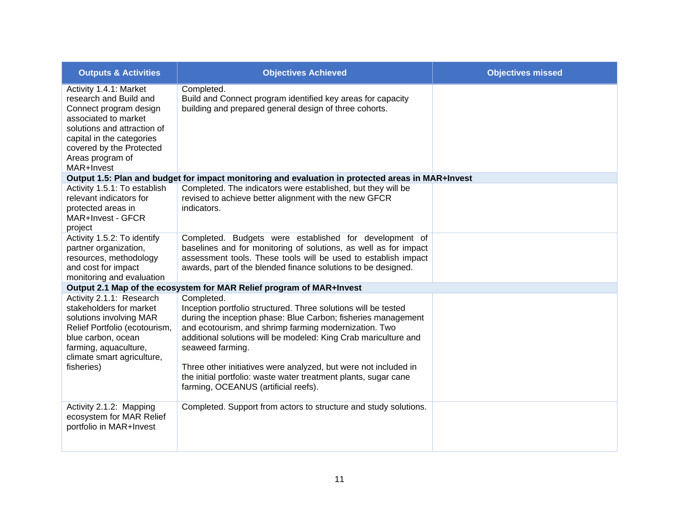| <b>Outputs &amp; Activities</b>                                                                                                                                                                                              | <b>Objectives Achieved</b>                                                                                                                                                                                                                                                                                                                                                                                                                                                  | <b>Objectives missed</b> |
|------------------------------------------------------------------------------------------------------------------------------------------------------------------------------------------------------------------------------|-----------------------------------------------------------------------------------------------------------------------------------------------------------------------------------------------------------------------------------------------------------------------------------------------------------------------------------------------------------------------------------------------------------------------------------------------------------------------------|--------------------------|
| Activity 1.4.1: Market<br>research and Build and<br>Connect program design<br>associated to market<br>solutions and attraction of<br>capital in the categories<br>covered by the Protected<br>Areas program of<br>MAR+Invest | Completed.<br>Build and Connect program identified key areas for capacity<br>building and prepared general design of three cohorts.                                                                                                                                                                                                                                                                                                                                         |                          |
|                                                                                                                                                                                                                              | Output 1.5: Plan and budget for impact monitoring and evaluation in protected areas in MAR+Invest                                                                                                                                                                                                                                                                                                                                                                           |                          |
| Activity 1.5.1: To establish<br>relevant indicators for<br>protected areas in<br>MAR+Invest - GFCR<br>project                                                                                                                | Completed. The indicators were established, but they will be<br>revised to achieve better alignment with the new GFCR<br>indicators.                                                                                                                                                                                                                                                                                                                                        |                          |
| Activity 1.5.2: To identify<br>partner organization,<br>resources, methodology<br>and cost for impact<br>monitoring and evaluation                                                                                           | Completed. Budgets were established for development of<br>baselines and for monitoring of solutions, as well as for impact<br>assessment tools. These tools will be used to establish impact<br>awards, part of the blended finance solutions to be designed.                                                                                                                                                                                                               |                          |
|                                                                                                                                                                                                                              | Output 2.1 Map of the ecosystem for MAR Relief program of MAR+Invest                                                                                                                                                                                                                                                                                                                                                                                                        |                          |
| Activity 2.1.1: Research<br>stakeholders for market<br>solutions involving MAR<br>Relief Portfolio (ecotourism,<br>blue carbon, ocean<br>farming, aquaculture,<br>climate smart agriculture,<br>fisheries)                   | Completed.<br>Inception portfolio structured. Three solutions will be tested<br>during the inception phase: Blue Carbon; fisheries management<br>and ecotourism, and shrimp farming modernization. Two<br>additional solutions will be modeled: King Crab mariculture and<br>seaweed farming.<br>Three other initiatives were analyzed, but were not included in<br>the initial portfolio: waste water treatment plants, sugar cane<br>farming, OCEANUS (artificial reefs). |                          |
| Activity 2.1.2: Mapping<br>ecosystem for MAR Relief<br>portfolio in MAR+Invest                                                                                                                                               | Completed. Support from actors to structure and study solutions.                                                                                                                                                                                                                                                                                                                                                                                                            |                          |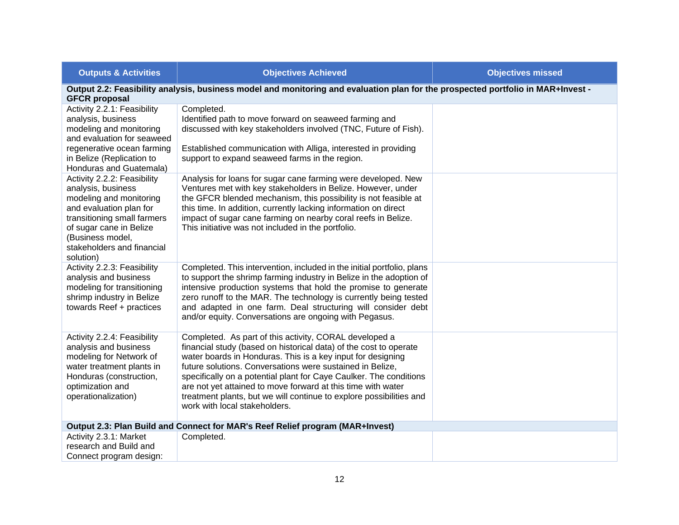| <b>Outputs &amp; Activities</b>                                                                                                                                                                                                  | <b>Objectives Achieved</b>                                                                                                                                                                                                                                                                                                                                                                                                                                                                            | <b>Objectives missed</b> |
|----------------------------------------------------------------------------------------------------------------------------------------------------------------------------------------------------------------------------------|-------------------------------------------------------------------------------------------------------------------------------------------------------------------------------------------------------------------------------------------------------------------------------------------------------------------------------------------------------------------------------------------------------------------------------------------------------------------------------------------------------|--------------------------|
| <b>GFCR proposal</b>                                                                                                                                                                                                             | Output 2.2: Feasibility analysis, business model and monitoring and evaluation plan for the prospected portfolio in MAR+Invest -                                                                                                                                                                                                                                                                                                                                                                      |                          |
| Activity 2.2.1: Feasibility<br>analysis, business<br>modeling and monitoring<br>and evaluation for seaweed<br>regenerative ocean farming<br>in Belize (Replication to<br>Honduras and Guatemala)                                 | Completed.<br>Identified path to move forward on seaweed farming and<br>discussed with key stakeholders involved (TNC, Future of Fish).<br>Established communication with Alliga, interested in providing<br>support to expand seaweed farms in the region.                                                                                                                                                                                                                                           |                          |
| Activity 2.2.2: Feasibility<br>analysis, business<br>modeling and monitoring<br>and evaluation plan for<br>transitioning small farmers<br>of sugar cane in Belize<br>(Business model,<br>stakeholders and financial<br>solution) | Analysis for loans for sugar cane farming were developed. New<br>Ventures met with key stakeholders in Belize. However, under<br>the GFCR blended mechanism, this possibility is not feasible at<br>this time. In addition, currently lacking information on direct<br>impact of sugar cane farming on nearby coral reefs in Belize.<br>This initiative was not included in the portfolio.                                                                                                            |                          |
| Activity 2.2.3: Feasibility<br>analysis and business<br>modeling for transitioning<br>shrimp industry in Belize<br>towards Reef + practices                                                                                      | Completed. This intervention, included in the initial portfolio, plans<br>to support the shrimp farming industry in Belize in the adoption of<br>intensive production systems that hold the promise to generate<br>zero runoff to the MAR. The technology is currently being tested<br>and adapted in one farm. Deal structuring will consider debt<br>and/or equity. Conversations are ongoing with Pegasus.                                                                                         |                          |
| Activity 2.2.4: Feasibility<br>analysis and business<br>modeling for Network of<br>water treatment plants in<br>Honduras (construction,<br>optimization and<br>operationalization)                                               | Completed. As part of this activity, CORAL developed a<br>financial study (based on historical data) of the cost to operate<br>water boards in Honduras. This is a key input for designing<br>future solutions. Conversations were sustained in Belize,<br>specifically on a potential plant for Caye Caulker. The conditions<br>are not yet attained to move forward at this time with water<br>treatment plants, but we will continue to explore possibilities and<br>work with local stakeholders. |                          |
|                                                                                                                                                                                                                                  | Output 2.3: Plan Build and Connect for MAR's Reef Relief program (MAR+Invest)                                                                                                                                                                                                                                                                                                                                                                                                                         |                          |
| Activity 2.3.1: Market<br>research and Build and<br>Connect program design:                                                                                                                                                      | Completed.                                                                                                                                                                                                                                                                                                                                                                                                                                                                                            |                          |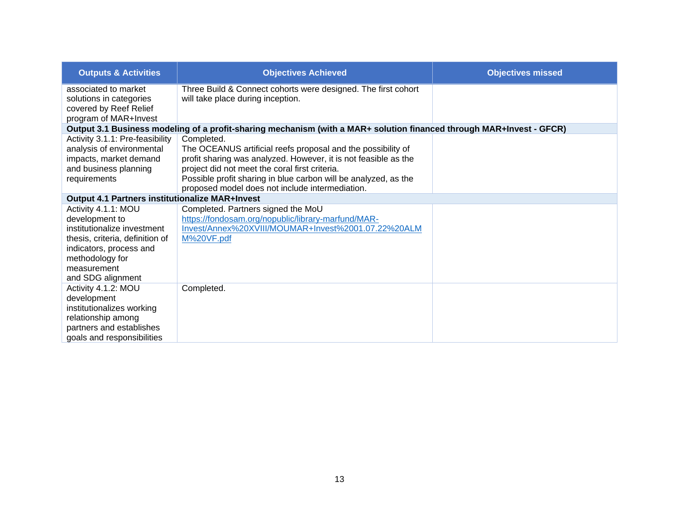| <b>Outputs &amp; Activities</b>                 | <b>Objectives Achieved</b>                                                                                           | <b>Objectives missed</b> |
|-------------------------------------------------|----------------------------------------------------------------------------------------------------------------------|--------------------------|
| associated to market                            | Three Build & Connect cohorts were designed. The first cohort                                                        |                          |
| solutions in categories                         | will take place during inception.                                                                                    |                          |
| covered by Reef Relief                          |                                                                                                                      |                          |
| program of MAR+Invest                           |                                                                                                                      |                          |
|                                                 | Output 3.1 Business modeling of a profit-sharing mechanism (with a MAR+ solution financed through MAR+Invest - GFCR) |                          |
| Activity 3.1.1: Pre-feasibility                 | Completed.                                                                                                           |                          |
| analysis of environmental                       | The OCEANUS artificial reefs proposal and the possibility of                                                         |                          |
| impacts, market demand                          | profit sharing was analyzed. However, it is not feasible as the                                                      |                          |
| and business planning                           | project did not meet the coral first criteria.                                                                       |                          |
| requirements                                    | Possible profit sharing in blue carbon will be analyzed, as the                                                      |                          |
|                                                 | proposed model does not include intermediation.                                                                      |                          |
| Output 4.1 Partners institutionalize MAR+Invest |                                                                                                                      |                          |
| Activity 4.1.1: MOU                             | Completed. Partners signed the MoU                                                                                   |                          |
| development to                                  | https://fondosam.org/nopublic/library-marfund/MAR-                                                                   |                          |
| institutionalize investment                     | Invest/Annex%20XVIII/MOUMAR+Invest%2001.07.22%20ALM                                                                  |                          |
| thesis, criteria, definition of                 | M%20VF.pdf                                                                                                           |                          |
| indicators, process and                         |                                                                                                                      |                          |
| methodology for                                 |                                                                                                                      |                          |
| measurement                                     |                                                                                                                      |                          |
| and SDG alignment                               |                                                                                                                      |                          |
| Activity 4.1.2: MOU                             | Completed.                                                                                                           |                          |
| development                                     |                                                                                                                      |                          |
| institutionalizes working                       |                                                                                                                      |                          |
| relationship among                              |                                                                                                                      |                          |
| partners and establishes                        |                                                                                                                      |                          |
| goals and responsibilities                      |                                                                                                                      |                          |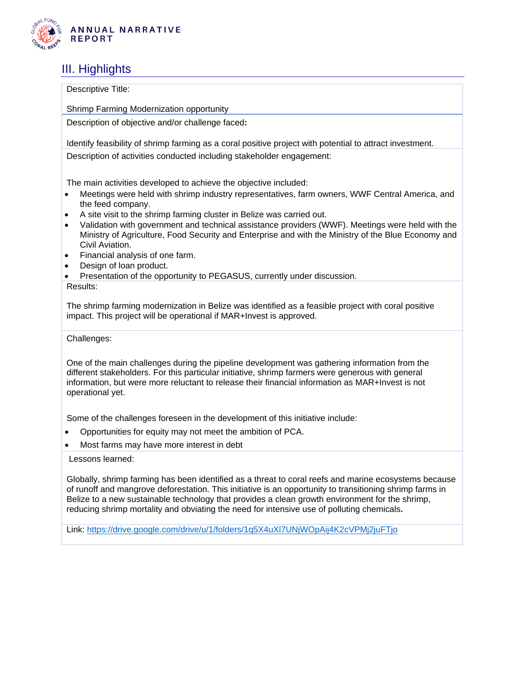

### <span id="page-13-0"></span>III. Highlights

Descriptive Title:

Shrimp Farming Modernization opportunity

Description of objective and/or challenge faced**:**

Identify feasibility of shrimp farming as a coral positive project with potential to attract investment.

Description of activities conducted including stakeholder engagement:

The main activities developed to achieve the objective included:

- Meetings were held with shrimp industry representatives, farm owners, WWF Central America, and the feed company.
- A site visit to the shrimp farming cluster in Belize was carried out.
- Validation with government and technical assistance providers (WWF). Meetings were held with the Ministry of Agriculture, Food Security and Enterprise and with the Ministry of the Blue Economy and Civil Aviation.
- Financial analysis of one farm.
- Design of loan product.
- Presentation of the opportunity to PEGASUS, currently under discussion.
- Results:

The shrimp farming modernization in Belize was identified as a feasible project with coral positive impact. This project will be operational if MAR+Invest is approved.

Challenges:

One of the main challenges during the pipeline development was gathering information from the different stakeholders. For this particular initiative, shrimp farmers were generous with general information, but were more reluctant to release their financial information as MAR+Invest is not operational yet.

Some of the challenges foreseen in the development of this initiative include:

- Opportunities for equity may not meet the ambition of PCA.
- Most farms may have more interest in debt

Lessons learned:

Globally, shrimp farming has been identified as a threat to coral reefs and marine ecosystems because of runoff and mangrove deforestation. This initiative is an opportunity to transitioning shrimp farms in Belize to a new sustainable technology that provides a clean growth environment for the shrimp, reducing shrimp mortality and obviating the need for intensive use of polluting chemicals**.**

Link: <https://drive.google.com/drive/u/1/folders/1q5X4uXl7UNjWOpAij4K2cVPMj2juFTjo>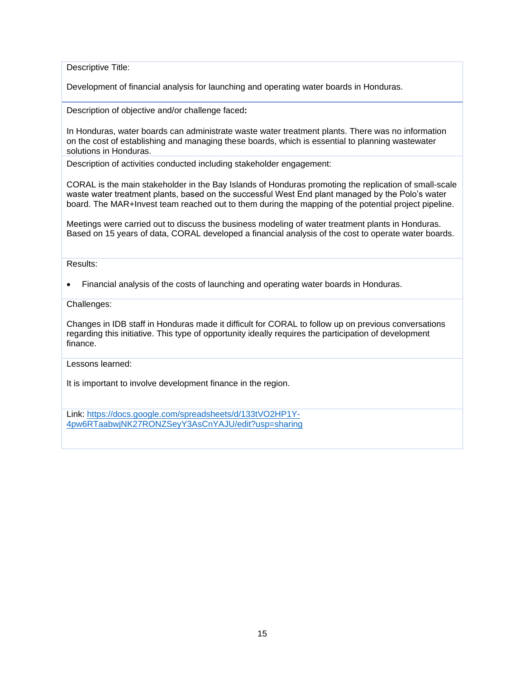Descriptive Title:

Development of financial analysis for launching and operating water boards in Honduras.

Description of objective and/or challenge faced**:**

In Honduras, water boards can administrate waste water treatment plants. There was no information on the cost of establishing and managing these boards, which is essential to planning wastewater solutions in Honduras.

Description of activities conducted including stakeholder engagement:

CORAL is the main stakeholder in the Bay Islands of Honduras promoting the replication of small-scale waste water treatment plants, based on the successful West End plant managed by the Polo's water board. The MAR+Invest team reached out to them during the mapping of the potential project pipeline.

Meetings were carried out to discuss the business modeling of water treatment plants in Honduras. Based on 15 years of data, CORAL developed a financial analysis of the cost to operate water boards.

Results:

• Financial analysis of the costs of launching and operating water boards in Honduras.

Challenges:

Changes in IDB staff in Honduras made it difficult for CORAL to follow up on previous conversations regarding this initiative. This type of opportunity ideally requires the participation of development finance.

Lessons learned:

It is important to involve development finance in the region.

Link: [https://docs.google.com/spreadsheets/d/133tVO2HP1Y-](https://docs.google.com/spreadsheets/d/133tVO2HP1Y-4pw6RTaabwjNK27RONZSeyY3AsCnYAJU/edit?usp=sharing)[4pw6RTaabwjNK27RONZSeyY3AsCnYAJU/edit?usp=sharing](https://docs.google.com/spreadsheets/d/133tVO2HP1Y-4pw6RTaabwjNK27RONZSeyY3AsCnYAJU/edit?usp=sharing)